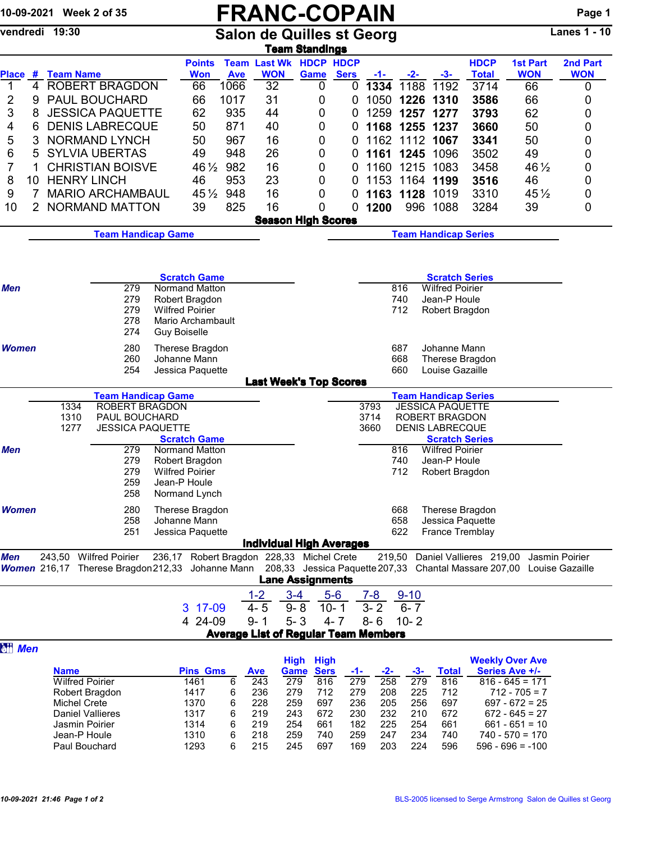## 10-09-2021 Week 2 of 35 **FRANC-COPAIN** Page 1<br>
Vendredi 19:30 Salon de Quilles st Georg Lanes 1 - 10

Salon de Quilles st Georg

|                      |                                       |                                                                                                                        |                                                                                   |                                             |                                             | <b>Team Standings</b>      |                              |                               |                                 |                                                                                   |                             |                                               |                        |
|----------------------|---------------------------------------|------------------------------------------------------------------------------------------------------------------------|-----------------------------------------------------------------------------------|---------------------------------------------|---------------------------------------------|----------------------------|------------------------------|-------------------------------|---------------------------------|-----------------------------------------------------------------------------------|-----------------------------|-----------------------------------------------|------------------------|
|                      | Place # Team Name                     |                                                                                                                        | <b>Points</b><br><b>Won</b>                                                       | <b>Ave</b>                                  | <b>Team Last Wk HDCP HDCP</b><br><b>WON</b> | <b>Game</b>                | <b>Sers</b>                  | $-1-$                         | $-2-$                           | $-3-$                                                                             | <b>HDCP</b><br><b>Total</b> | <b>1st Part</b><br><b>WON</b>                 | 2nd Part<br><b>WON</b> |
| $\mathbf 1$<br>4     |                                       | <b>ROBERT BRAGDON</b>                                                                                                  | 66                                                                                | 1066                                        | 32                                          | 0                          | 0                            | 1334                          | 1188                            | 1192                                                                              | 3714                        | 66                                            | 0                      |
| 2<br>9               |                                       | <b>PAUL BOUCHARD</b>                                                                                                   | 66                                                                                | 1017                                        | 31                                          | 0                          | 0                            | 1050                          |                                 | 1226 1310                                                                         | 3586                        | 66                                            | 0                      |
| 3<br>8               |                                       | <b>JESSICA PAQUETTE</b>                                                                                                | 62                                                                                | 935                                         | 44                                          | 0                          | 0                            | 1259                          |                                 | 1257 1277                                                                         | 3793                        | 62                                            | 0                      |
|                      |                                       | <b>DENIS LABRECQUE</b>                                                                                                 | 50                                                                                | 871                                         | 40                                          |                            |                              |                               |                                 | 1168 1255 1237                                                                    | 3660                        | 50                                            |                        |
| 4<br>6               |                                       |                                                                                                                        |                                                                                   |                                             |                                             | 0                          | 0                            |                               |                                 |                                                                                   |                             |                                               | 0                      |
| 5<br>3               |                                       | <b>NORMAND LYNCH</b>                                                                                                   | 50                                                                                | 967                                         | 16                                          | 0                          | 0                            |                               |                                 | 1162 1112 1067                                                                    | 3341                        | 50                                            | 0                      |
| 6<br>5               |                                       | <b>SYLVIA UBERTAS</b>                                                                                                  | 49                                                                                | 948                                         | 26                                          | 0                          | 0                            |                               | 1161 1245                       | 1096                                                                              | 3502                        | 49                                            | 0                      |
| 7<br>1               |                                       | <b>CHRISTIAN BOISVE</b>                                                                                                |                                                                                   | 982<br>$46\frac{1}{2}$                      | 16                                          | 0                          | 0                            |                               | 1160 1215                       | 1083                                                                              | 3458                        | 46 $\frac{1}{2}$                              | 0                      |
| 8<br>10              | <b>HENRY LINCH</b>                    |                                                                                                                        | 46                                                                                | 953                                         | 23                                          | 0                          | 0                            | 1153                          | 1164                            | 1199                                                                              | 3516                        | 46                                            | 0                      |
| 9<br>7               |                                       | <b>MARIO ARCHAMBAUL</b>                                                                                                |                                                                                   | $45\frac{1}{2}$<br>948                      | 16                                          | 0                          | 0                            | 1163                          | 1128                            | 1019                                                                              | 3310                        | $45\frac{1}{2}$                               | 0                      |
| 10<br>$\overline{2}$ |                                       | NORMAND MATTON                                                                                                         | 39                                                                                | 825                                         | 16                                          | 0                          | 0                            | 1200                          | 996                             | 1088                                                                              | 3284                        | 39                                            | 0                      |
|                      |                                       |                                                                                                                        |                                                                                   |                                             |                                             | <b>Season High Scores</b>  |                              |                               |                                 |                                                                                   |                             |                                               |                        |
|                      |                                       | <b>Team Handicap Game</b>                                                                                              |                                                                                   |                                             |                                             |                            |                              |                               |                                 | <b>Team Handicap Series</b>                                                       |                             |                                               |                        |
| <b>Men</b>           |                                       | 279<br>279<br>279                                                                                                      | <b>Scratch Game</b><br>Normand Matton<br>Robert Bragdon<br><b>Wilfred Poirier</b> |                                             |                                             |                            |                              |                               | 816<br>740<br>712               | <b>Scratch Series</b><br><b>Wilfred Poirier</b><br>Jean-P Houle<br>Robert Bragdon |                             |                                               |                        |
|                      |                                       | 278<br>274                                                                                                             | Mario Archambault<br><b>Guy Boiselle</b>                                          |                                             |                                             |                            |                              |                               |                                 |                                                                                   |                             |                                               |                        |
| <b>Women</b>         |                                       | 280<br>260                                                                                                             | Therese Bragdon<br>Johanne Mann                                                   |                                             |                                             |                            |                              |                               | 687<br>668<br>660               | Johanne Mann<br>Therese Bragdon                                                   |                             |                                               |                        |
|                      |                                       | 254                                                                                                                    | Jessica Paquette                                                                  |                                             | <b>Last Week's Top Scores</b>               |                            |                              |                               |                                 | Louise Gazaille                                                                   |                             |                                               |                        |
|                      |                                       | <b>Team Handicap Game</b>                                                                                              |                                                                                   |                                             |                                             |                            |                              |                               |                                 | <b>Team Handicap Series</b>                                                       |                             |                                               |                        |
|                      | 1334                                  | <b>ROBERT BRAGDON</b>                                                                                                  |                                                                                   |                                             |                                             |                            |                              | 3793                          |                                 | <b>JESSICA PAQUETTE</b>                                                           |                             |                                               |                        |
|                      | 1310                                  | PAUL BOUCHARD                                                                                                          |                                                                                   |                                             |                                             |                            |                              | 3714                          |                                 | ROBERT BRAGDON                                                                    |                             |                                               |                        |
|                      | 1277                                  | <b>JESSICA PAQUETTE</b>                                                                                                |                                                                                   |                                             |                                             |                            |                              | 3660                          |                                 | <b>DENIS LABRECQUE</b>                                                            |                             |                                               |                        |
|                      |                                       |                                                                                                                        | <b>Scratch Game</b>                                                               |                                             |                                             |                            |                              |                               |                                 | <b>Scratch Series</b>                                                             |                             |                                               |                        |
| <b>Men</b>           |                                       | 279                                                                                                                    | Normand Matton                                                                    |                                             |                                             |                            |                              |                               | 816                             | <b>Wilfred Poirier</b>                                                            |                             |                                               |                        |
|                      |                                       | 279<br>279<br>259<br>258                                                                                               | Robert Bragdon<br><b>Wilfred Poirier</b><br>Jean-P Houle<br>Normand Lynch         |                                             |                                             |                            |                              |                               | 740<br>712                      | Jean-P Houle<br>Robert Bragdon                                                    |                             |                                               |                        |
| <b>Women</b>         |                                       | 280                                                                                                                    | Therese Bragdon                                                                   |                                             |                                             |                            |                              |                               | 668                             | Therese Bragdon                                                                   |                             |                                               |                        |
|                      |                                       | 258                                                                                                                    | Johanne Mann                                                                      |                                             |                                             |                            |                              |                               | 658                             | Jessica Paquette                                                                  |                             |                                               |                        |
|                      |                                       | 251                                                                                                                    | Jessica Paquette                                                                  |                                             |                                             |                            |                              |                               | 622                             | France Tremblay                                                                   |                             |                                               |                        |
|                      |                                       |                                                                                                                        |                                                                                   |                                             | <b>Individual High Averages</b>             |                            |                              |                               |                                 |                                                                                   |                             |                                               |                        |
| <b>Men</b>           | 243,50 Wilfred Poirier                | Women 216,17 Therese Bragdon 212,33 Johanne Mann 208,33 Jessica Paquette 207,33 Chantal Massare 207,00 Louise Gazaille | 236,17 Robert Bragdon 228,33 Michel Crete                                         |                                             |                                             | <b>Lane Assignments</b>    |                              |                               |                                 |                                                                                   |                             | 219,50 Daniel Vallieres 219,00 Jasmin Poirier |                        |
|                      |                                       |                                                                                                                        |                                                                                   |                                             | $1 - 2$                                     | $3 - 4$                    |                              |                               |                                 |                                                                                   |                             |                                               |                        |
|                      |                                       |                                                                                                                        | 3 17-09<br>4 24-09                                                                |                                             | $4 - 5$<br>$9 - 1$                          | $9 - 8$<br>$5 - 3$         | $5-6$<br>$10 - 1$<br>$4 - 7$ | $7 - 8$<br>$3 - 2$<br>$8 - 6$ | $9 - 10$<br>$6 - 7$<br>$10 - 2$ |                                                                                   |                             |                                               |                        |
|                      |                                       |                                                                                                                        |                                                                                   | <b>Average List of Regular Team Members</b> |                                             |                            |                              |                               |                                 |                                                                                   |                             |                                               |                        |
| <b>Men</b>           |                                       |                                                                                                                        |                                                                                   |                                             |                                             |                            |                              |                               |                                 |                                                                                   |                             |                                               |                        |
|                      |                                       |                                                                                                                        |                                                                                   |                                             |                                             | <b>High</b><br><b>High</b> |                              |                               |                                 |                                                                                   |                             | <b>Weekly Over Ave</b>                        |                        |
|                      | <b>Name</b>                           |                                                                                                                        | Pins Gms                                                                          |                                             | <b>Ave</b>                                  | <b>Sers</b><br><b>Game</b> | -1-                          | $-2-$                         | $-3-$<br>279                    | <b>Total</b>                                                                      |                             | Series Ave +/-                                |                        |
|                      | <b>Wilfred Poirier</b>                |                                                                                                                        | 1461                                                                              | 6                                           | 243                                         | 279<br>816                 | 279                          | 258                           |                                 | 816                                                                               |                             | $816 - 645 = 171$                             |                        |
|                      | Robert Bragdon<br><b>Michel Crete</b> |                                                                                                                        | 1417<br>1370                                                                      | 6<br>6                                      | 236<br>228                                  | 279<br>712<br>259<br>697   | 279<br>236                   | 208<br>205                    | 225<br>256                      | 712<br>697                                                                        |                             | $712 - 705 = 7$<br>$697 - 672 = 25$           |                        |
|                      | <b>Daniel Vallieres</b>               |                                                                                                                        | 1317                                                                              | 6                                           | 219                                         | 243<br>672                 | 230                          | 232                           | 210                             | 672                                                                               |                             | $672 - 645 = 27$                              |                        |
|                      | Jasmin Poirier                        |                                                                                                                        | 1314                                                                              | 6                                           | 219                                         | 254<br>661                 | 182                          | 225                           | 254                             | 661                                                                               |                             | $661 - 651 = 10$                              |                        |
|                      | Jean-P Houle                          |                                                                                                                        | 1310                                                                              | 6                                           | 218                                         | 259<br>740                 | 259                          | 247                           | 234                             | 740                                                                               |                             | $740 - 570 = 170$                             |                        |
|                      | Paul Bouchard                         |                                                                                                                        | 1293                                                                              | 6                                           | 215                                         | 245<br>697                 | 169                          | 203                           | 224                             | 596                                                                               |                             | $596 - 696 = -100$                            |                        |